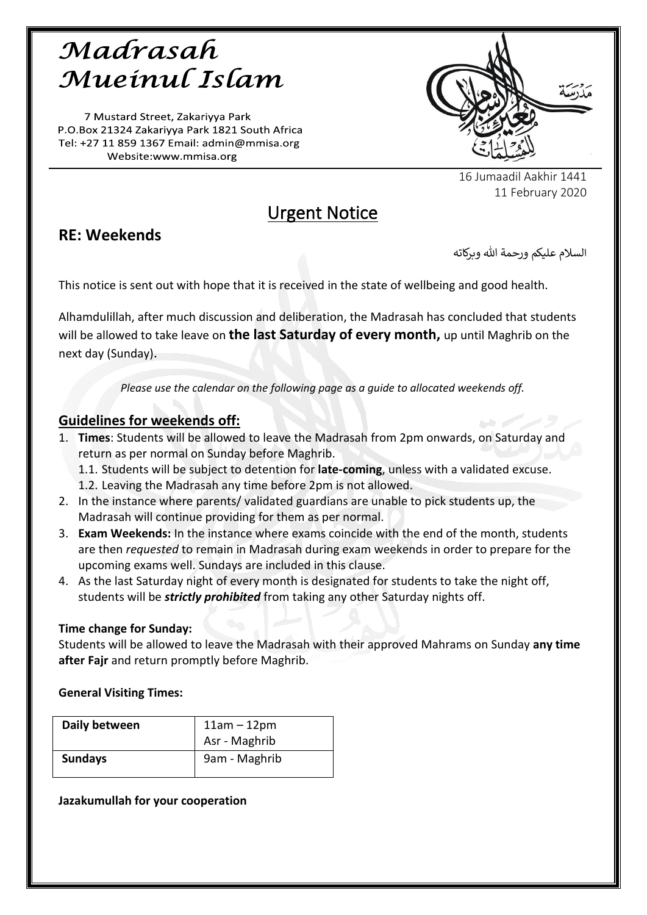# Madrasah Mueinul Islam

7 Mustard Street, Zakariyya Park P.O.Box 21324 Zakariyya Park 1821 South Africa Tel: +27 11 859 1367 Email: admin@mmisa.org Website:www.mmisa.org



16 Jumaadil Aakhir 1441 11 February 2020

## Urgent Notice

## **RE: Weekends**

السلام عليكم ورحمة الله وبركاته

This notice is sent out with hope that it is received in the state of wellbeing and good health.

Alhamdulillah, after much discussion and deliberation, the Madrasah has concluded that students will be allowed to take leave on **the last Saturday of every month,** up until Maghrib on the next day (Sunday).

*Please use the calendar on the following page as a guide to allocated weekends off.*

### **Guidelines for weekends off:**

- 1. **Times**: Students will be allowed to leave the Madrasah from 2pm onwards, on Saturday and return as per normal on Sunday before Maghrib.
	- 1.1. Students will be subject to detention for **late-coming**, unless with a validated excuse.
	- 1.2. Leaving the Madrasah any time before 2pm is not allowed.
- 2. In the instance where parents/ validated guardians are unable to pick students up, the Madrasah will continue providing for them as per normal.
- 3. **Exam Weekends:** In the instance where exams coincide with the end of the month, students are then *requested* to remain in Madrasah during exam weekends in order to prepare for the upcoming exams well. Sundays are included in this clause.
- 4. As the last Saturday night of every month is designated for students to take the night off, students will be *strictly prohibited* from taking any other Saturday nights off.

### **Time change for Sunday:**

Students will be allowed to leave the Madrasah with their approved Mahrams on Sunday **any time after Fajr** and return promptly before Maghrib.

### **General Visiting Times:**

| Daily between  | $11am - 12pm$<br>Asr - Maghrib |
|----------------|--------------------------------|
| <b>Sundays</b> | 9am - Maghrib                  |

**Jazakumullah for your cooperation**